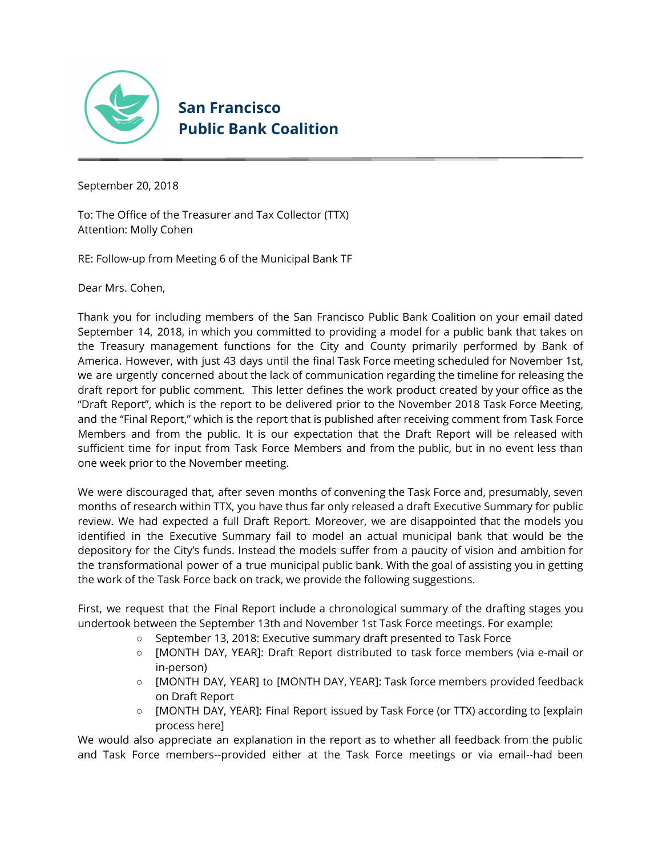

# **San Francisco Public Bank Coalition**

September 20, 2018

To: The Office of the Treasurer and Tax Collector (TTX) Attention: Molly Cohen

RE: Follow-up from Meeting 6 of the Municipal Bank TF

Dear Mrs. Cohen,

Thank you for including members of the San Francisco Public Bank Coalition on your email dated September 14, 2018, in which you committed to providing a model for a public bank that takes on the Treasury management functions for the City and County primarily performed by Bank of America. However, with just 43 days until the final Task Force meeting scheduled for November 1st, we are urgently concerned about the lack of communication regarding the timeline for releasing the draft report for public comment. This letter defines the work product created by your office as the "Draft Report", which is the report to be delivered prior to the November 2018 Task Force Meeting, and the "Final Report," which is the report that is published after receiving comment from Task Force Members and from the public. It is our expectation that the Draft Report will be released with sufficient time for input from Task Force Members and from the public, but in no event less than one week prior to the November meeting.

We were discouraged that, after seven months of convening the Task Force and, presumably, seven months of research within TTX, you have thus far only released a draft Executive Summary for public review. We had expected a full Draft Report. Moreover, we are disappointed that the models you identified in the Executive Summary fail to model an actual municipal bank that would be the depository for the City's funds. Instead the models suffer from a paucity of vision and ambition for the transformational power of a true municipal public bank. With the goal of assisting you in getting the work of the Task Force back on track, we provide the following suggestions.

First, we request that the Final Report include a chronological summary of the drafting stages you undertook between the September 13th and November 1st Task Force meetings. For example:

- September 13, 2018: Executive summary draft presented to Task Force
- [MONTH DAY, YEAR]: Draft Report distributed to task force members (via e-mail or in-person)
- [MONTH DAY, YEAR] to [MONTH DAY, YEAR]: Task force members provided feedback on Draft Report
- [MONTH DAY, YEAR]: Final Report issued by Task Force (or TTX) according to [explain process here]

We would also appreciate an explanation in the report as to whether all feedback from the public and Task Force members--provided either at the Task Force meetings or via email--had been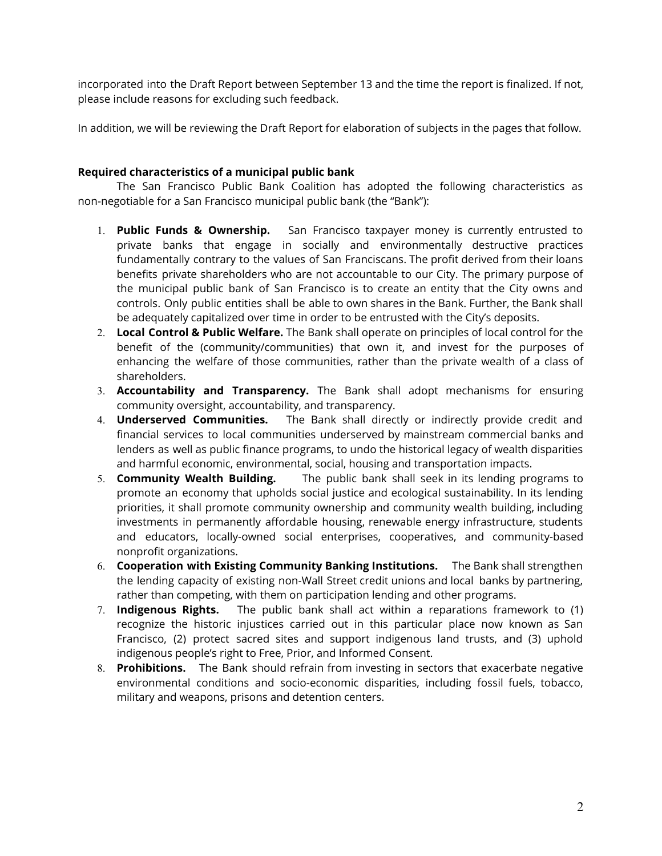incorporated into the Draft Report between September 13 and the time the report is finalized. If not, please include reasons for excluding such feedback.

In addition, we will be reviewing the Draft Report for elaboration of subjects in the pages that follow.

#### **Required characteristics of a municipal public bank**

The San Francisco Public Bank Coalition has adopted the following characteristics as non-negotiable for a San Francisco municipal public bank (the "Bank"):

- 1. **Public Funds & Ownership.** San Francisco taxpayer money is currently entrusted to private banks that engage in socially and environmentally destructive practices fundamentally contrary to the values of San Franciscans. The profit derived from their loans benefits private shareholders who are not accountable to our City. The primary purpose of the municipal public bank of San Francisco is to create an entity that the City owns and controls. Only public entities shall be able to own shares in the Bank. Further, the Bank shall be adequately capitalized over time in order to be entrusted with the City's deposits.
- 2. **Local Control & Public Welfare.** The Bank shall operate on principles of local control for the benefit of the (community/communities) that own it, and invest for the purposes of enhancing the welfare of those communities, rather than the private wealth of a class of shareholders.
- 3. **Accountability and Transparency.** The Bank shall adopt mechanisms for ensuring community oversight, accountability, and transparency.
- 4. **Underserved Communities.** The Bank shall directly or indirectly provide credit and financial services to local communities underserved by mainstream commercial banks and lenders as well as public finance programs, to undo the historical legacy of wealth disparities and harmful economic, environmental, social, housing and transportation impacts.
- 5. **Community Wealth Building.** The public bank shall seek in its lending programs to promote an economy that upholds social justice and ecological sustainability. In its lending priorities, it shall promote community ownership and community wealth building, including investments in permanently affordable housing, renewable energy infrastructure, students and educators, locally-owned social enterprises, cooperatives, and community-based nonprofit organizations.
- 6. **Cooperation with Existing Community Banking Institutions.** The Bank shall strengthen the lending capacity of existing non-Wall Street credit unions and local banks by partnering, rather than competing, with them on participation lending and other programs.
- 7. **Indigenous Rights.** The public bank shall act within a reparations framework to (1) recognize the historic injustices carried out in this particular place now known as San Francisco, (2) protect sacred sites and support indigenous land trusts, and (3) uphold indigenous people's right to Free, Prior, and Informed Consent.
- 8. **Prohibitions.** The Bank should refrain from investing in sectors that exacerbate negative environmental conditions and socio-economic disparities, including fossil fuels, tobacco, military and weapons, prisons and detention centers.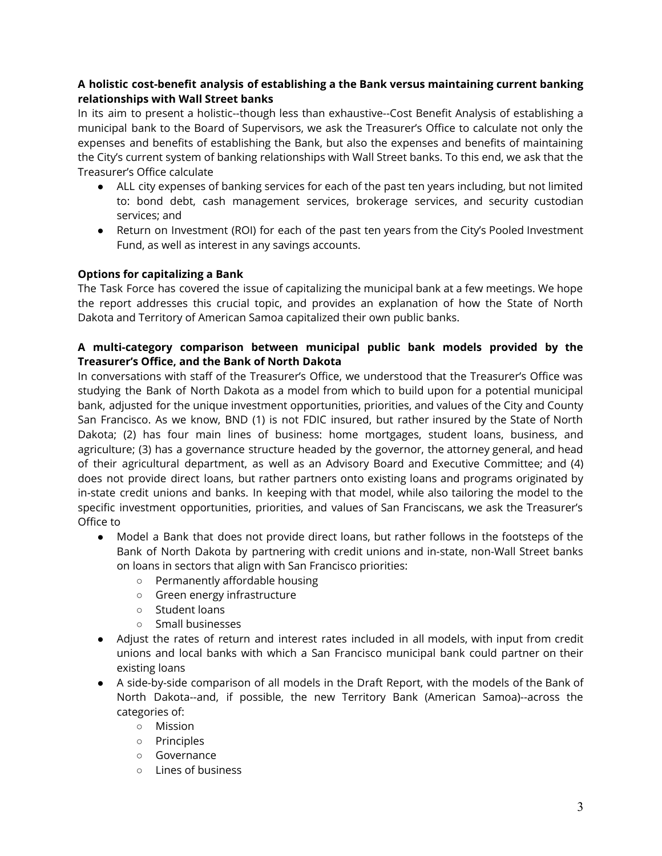# **A holistic cost-benefit analysis of establishing a the Bank versus maintaining current banking relationships with Wall Street banks**

In its aim to present a holistic--though less than exhaustive--Cost Benefit Analysis of establishing a municipal bank to the Board of Supervisors, we ask the Treasurer's Office to calculate not only the expenses and benefits of establishing the Bank, but also the expenses and benefits of maintaining the City's current system of banking relationships with Wall Street banks. To this end, we ask that the Treasurer's Office calculate

- ALL city expenses of banking services for each of the past ten years including, but not limited to: bond debt, cash management services, brokerage services, and security custodian services; and
- Return on Investment (ROI) for each of the past ten years from the City's Pooled Investment Fund, as well as interest in any savings accounts.

# **Options for capitalizing a Bank**

The Task Force has covered the issue of capitalizing the municipal bank at a few meetings. We hope the report addresses this crucial topic, and provides an explanation of how the State of North Dakota and Territory of American Samoa capitalized their own public banks.

## **A multi-category comparison between municipal public bank models provided by the Treasurer's Office, and the Bank of North Dakota**

In conversations with staff of the Treasurer's Office, we understood that the Treasurer's Office was studying the Bank of North Dakota as a model from which to build upon for a potential municipal bank, adjusted for the unique investment opportunities, priorities, and values of the City and County San Francisco. As we know, BND (1) is not FDIC insured, but rather insured by the State of North Dakota; (2) has four main lines of business: home mortgages, student loans, business, and agriculture; (3) has a governance structure headed by the governor, the attorney general, and head of their agricultural department, as well as an Advisory Board and Executive Committee; and (4) does not provide direct loans, but rather partners onto existing loans and programs originated by in-state credit unions and banks. In keeping with that model, while also tailoring the model to the specific investment opportunities, priorities, and values of San Franciscans, we ask the Treasurer's Office to

- Model a Bank that does not provide direct loans, but rather follows in the footsteps of the Bank of North Dakota by partnering with credit unions and in-state, non-Wall Street banks on loans in sectors that align with San Francisco priorities:
	- Permanently affordable housing
	- Green energy infrastructure
	- Student loans
	- Small businesses
- Adjust the rates of return and interest rates included in all models, with input from credit unions and local banks with which a San Francisco municipal bank could partner on their existing loans
- A side-by-side comparison of all models in the Draft Report, with the models of the Bank of North Dakota--and, if possible, the new Territory Bank (American Samoa)--across the categories of:
	- Mission
	- Principles
	- Governance
	- Lines of business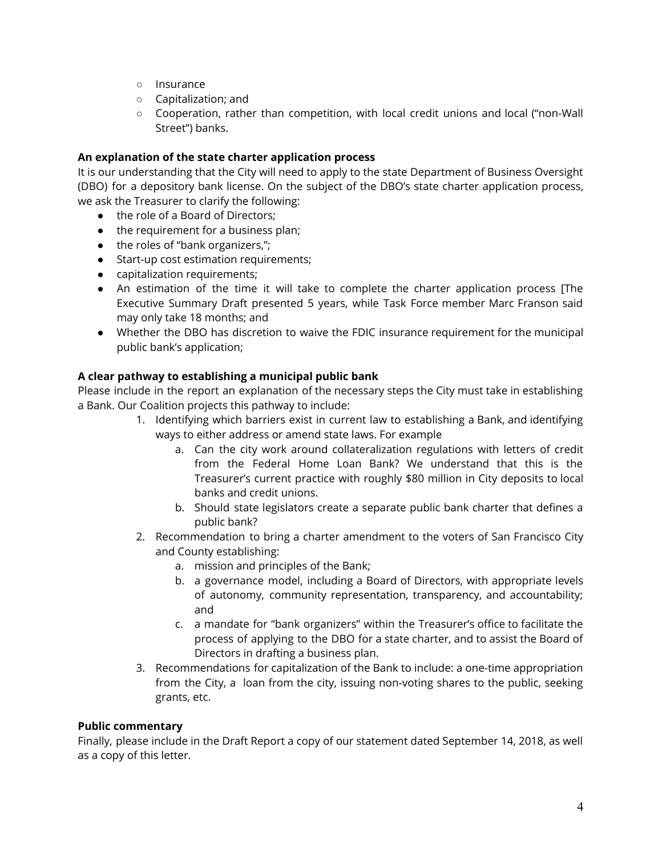- Insurance
- Capitalization; and
- Cooperation, rather than competition, with local credit unions and local ("non-Wall Street") banks.

### **An explanation of the state charter application process**

It is our understanding that the City will need to apply to the state Department of Business Oversight (DBO) for a depository bank license. On the subject of the DBO's state charter application process, we ask the Treasurer to clarify the following:

- the role of a Board of Directors;
- the requirement for a business plan;
- the roles of "bank organizers,";
- Start-up cost estimation requirements;
- capitalization requirements;
- An estimation of the time it will take to complete the charter application process [The Executive Summary Draft presented 5 years, while Task Force member Marc Franson said may only take 18 months; and
- Whether the DBO has discretion to waive the FDIC insurance requirement for the municipal public bank's application;

#### **A clear pathway to establishing a municipal public bank**

Please include in the report an explanation of the necessary steps the City must take in establishing a Bank. Our Coalition projects this pathway to include:

- 1. Identifying which barriers exist in current law to establishing a Bank, and identifying ways to either address or amend state laws. For example
	- a. Can the city work around collateralization regulations with letters of credit from the Federal Home Loan Bank? We understand that this is the Treasurer's current practice with roughly \$80 million in City deposits to local banks and credit unions.
	- b. Should state legislators create a separate public bank charter that defines a public bank?
- 2. Recommendation to bring a charter amendment to the voters of San Francisco City and County establishing:
	- a. mission and principles of the Bank;
	- b. a governance model, including a Board of Directors, with appropriate levels of autonomy, community representation, transparency, and accountability; and
	- c. a mandate for "bank organizers" within the Treasurer's office to facilitate the process of applying to the DBO for a state charter, and to assist the Board of Directors in drafting a business plan.
- 3. Recommendations for capitalization of the Bank to include: a one-time appropriation from the City, a loan from the city, issuing non-voting shares to the public, seeking grants, etc.

### **Public commentary**

Finally, please include in the Draft Report a copy of our statement dated September 14, 2018, as well as a copy of this letter.